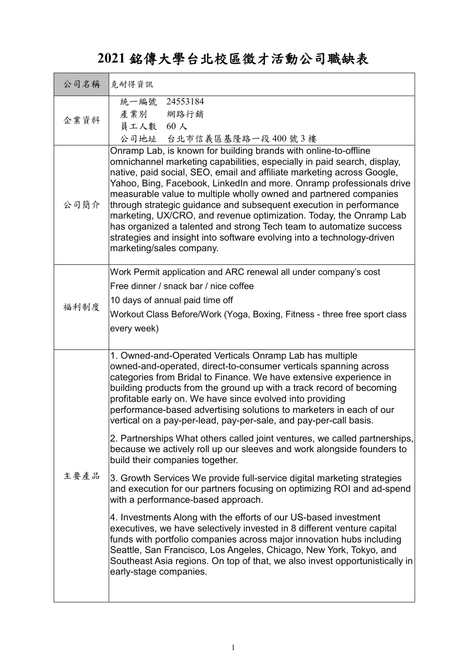## **2021** 銘傳大學台北校區徵才活動公司職缺表

| 公司名稱 | 克耐得資訊                                                                                                                                                                                                                                                                                                                                                                                                                                                                                                                                                                                                                                                                                                                                                                                                                                                                                                                                                                                                                                                                                                                                                                                                                                                                           |
|------|---------------------------------------------------------------------------------------------------------------------------------------------------------------------------------------------------------------------------------------------------------------------------------------------------------------------------------------------------------------------------------------------------------------------------------------------------------------------------------------------------------------------------------------------------------------------------------------------------------------------------------------------------------------------------------------------------------------------------------------------------------------------------------------------------------------------------------------------------------------------------------------------------------------------------------------------------------------------------------------------------------------------------------------------------------------------------------------------------------------------------------------------------------------------------------------------------------------------------------------------------------------------------------|
| 企業資料 | 24553184<br>統一編號<br>產業別<br>網路行銷<br>員工人數 60人<br>公司地址 台北市信義區基隆路一段400號3樓                                                                                                                                                                                                                                                                                                                                                                                                                                                                                                                                                                                                                                                                                                                                                                                                                                                                                                                                                                                                                                                                                                                                                                                                           |
| 公司簡介 | Onramp Lab, is known for building brands with online-to-offline<br>omnichannel marketing capabilities, especially in paid search, display,<br>native, paid social, SEO, email and affiliate marketing across Google,<br>Yahoo, Bing, Facebook, LinkedIn and more. Onramp professionals drive<br>measurable value to multiple wholly owned and partnered companies<br>through strategic guidance and subsequent execution in performance<br>marketing, UX/CRO, and revenue optimization. Today, the Onramp Lab<br>has organized a talented and strong Tech team to automatize success<br>strategies and insight into software evolving into a technology-driven<br>marketing/sales company.                                                                                                                                                                                                                                                                                                                                                                                                                                                                                                                                                                                      |
| 福利制度 | Work Permit application and ARC renewal all under company's cost<br>Free dinner / snack bar / nice coffee<br>10 days of annual paid time off<br>Workout Class Before/Work (Yoga, Boxing, Fitness - three free sport class<br>every week)                                                                                                                                                                                                                                                                                                                                                                                                                                                                                                                                                                                                                                                                                                                                                                                                                                                                                                                                                                                                                                        |
| 主要產品 | 1. Owned-and-Operated Verticals Onramp Lab has multiple<br>owned-and-operated, direct-to-consumer verticals spanning across<br>categories from Bridal to Finance. We have extensive experience in<br>building products from the ground up with a track record of becoming<br>profitable early on. We have since evolved into providing<br>performance-based advertising solutions to marketers in each of our<br>vertical on a pay-per-lead, pay-per-sale, and pay-per-call basis.<br>2. Partnerships What others called joint ventures, we called partnerships,<br>because we actively roll up our sleeves and work alongside founders to<br>build their companies together.<br>3. Growth Services We provide full-service digital marketing strategies<br>and execution for our partners focusing on optimizing ROI and ad-spend<br>with a performance-based approach.<br>4. Investments Along with the efforts of our US-based investment<br>executives, we have selectively invested in 8 different venture capital<br>funds with portfolio companies across major innovation hubs including<br>Seattle, San Francisco, Los Angeles, Chicago, New York, Tokyo, and<br>Southeast Asia regions. On top of that, we also invest opportunistically in<br>early-stage companies. |